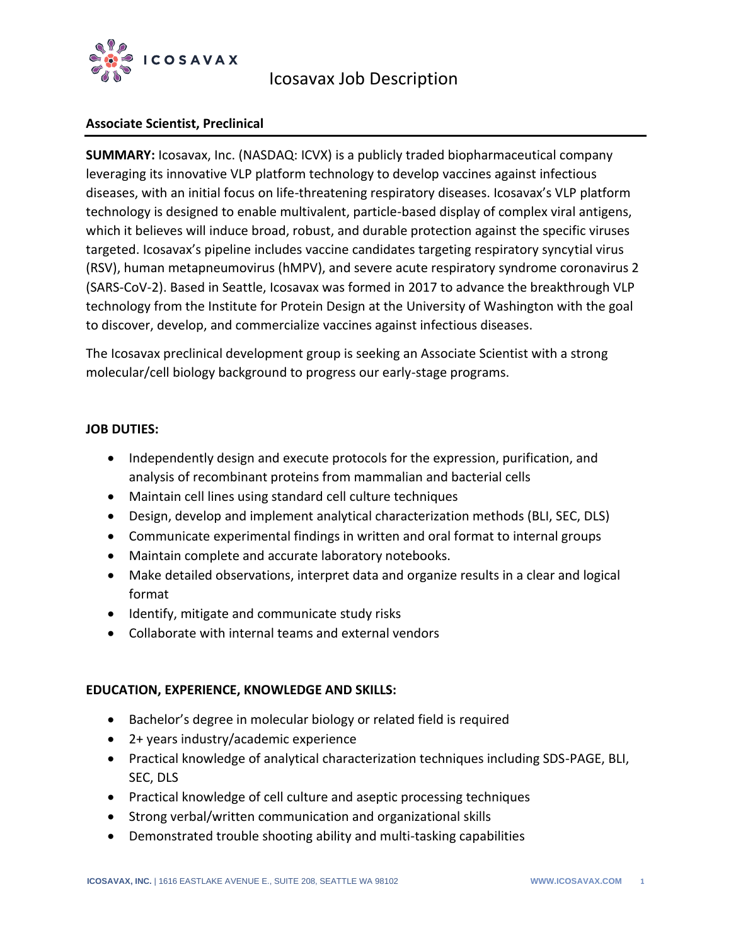

# Icosavax Job Description

## **Associate Scientist, Preclinical**

**SUMMARY:** Icosavax, Inc. (NASDAQ: ICVX) is a publicly traded biopharmaceutical company leveraging its innovative VLP platform technology to develop vaccines against infectious diseases, with an initial focus on life-threatening respiratory diseases. Icosavax's VLP platform technology is designed to enable multivalent, particle-based display of complex viral antigens, which it believes will induce broad, robust, and durable protection against the specific viruses targeted. Icosavax's pipeline includes vaccine candidates targeting respiratory syncytial virus (RSV), human metapneumovirus (hMPV), and severe acute respiratory syndrome coronavirus 2 (SARS-CoV-2). Based in Seattle, Icosavax was formed in 2017 to advance the breakthrough VLP technology from the Institute for Protein Design at the University of Washington with the goal to discover, develop, and commercialize vaccines against infectious diseases.

The Icosavax preclinical development group is seeking an Associate Scientist with a strong molecular/cell biology background to progress our early-stage programs.

### **JOB DUTIES:**

- Independently design and execute protocols for the expression, purification, and analysis of recombinant proteins from mammalian and bacterial cells
- Maintain cell lines using standard cell culture techniques
- Design, develop and implement analytical characterization methods (BLI, SEC, DLS)
- Communicate experimental findings in written and oral format to internal groups
- Maintain complete and accurate laboratory notebooks.
- Make detailed observations, interpret data and organize results in a clear and logical format
- Identify, mitigate and communicate study risks
- Collaborate with internal teams and external vendors

### **EDUCATION, EXPERIENCE, KNOWLEDGE AND SKILLS:**

- Bachelor's degree in molecular biology or related field is required
- 2+ years industry/academic experience
- Practical knowledge of analytical characterization techniques including SDS-PAGE, BLI, SEC, DLS
- Practical knowledge of cell culture and aseptic processing techniques
- Strong verbal/written communication and organizational skills
- Demonstrated trouble shooting ability and multi-tasking capabilities